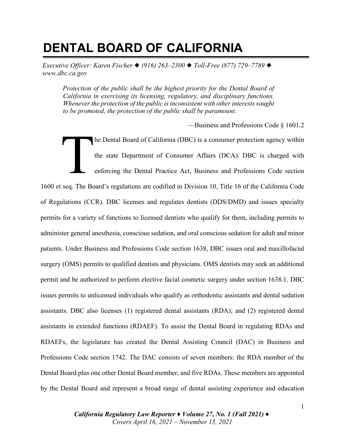# **DENTAL BOARD OF CALIFORNIA**

*Executive Officer: Karen Fischer* ◆ *(916) 263–2300* ◆ *Toll-Free (877) 729–7789* ◆ *www.dbc.ca.gov*

*Protection of the public shall be the highest priority for the Dental Board of California in exercising its licensing, regulatory, and disciplinary functions. Whenever the protection of the public is inconsistent with other interests sought to be promoted, the protection of the public shall be paramount*.

—Business and Professions Code § 1601.2

he Dental Board of California (DBC) is a consumer protection agency within the state Department of Consumer Affairs (DCA). DBC is charged with enforcing the Dental Practice Act, Business and Professions Code section 1600 et seq. The Board's regulations are codified in Division 10, Title 16 of the California Code of Regulations (CCR). DBC licenses and regulates dentists (DDS/DMD) and issues specialty permits for a variety of functions to licensed dentists who qualify for them, including permits to administer general anesthesia, conscious sedation, and oral conscious sedation for adult and minor patients. Under Business and Professions Code section 1638, DBC issues oral and maxillofacial surgery (OMS) permits to qualified dentists and physicians. OMS dentists may seek an additional permit and be authorized to perform elective facial cosmetic surgery under section 1638.1. DBC issues permits to unlicensed individuals who qualify as orthodontic assistants and dental sedation assistants. DBC also licenses (1) registered dental assistants (RDA); and (2) registered dental assistants in extended functions (RDAEF). To assist the Dental Board in regulating RDAs and RDAEFs, the legislature has created the Dental Assisting Council (DAC) in Business and Professions Code section 1742. The DAC consists of seven members: the RDA member of the Dental Board plus one other Dental Board member, and five RDAs. These members are appointed by the Dental Board and represent a broad range of dental assisting experience and education The Property of the Property of the Property of the Property of the Property of the Property of the Property of the Property of the Property of the Property of the Property of the Property of the Property of the Property o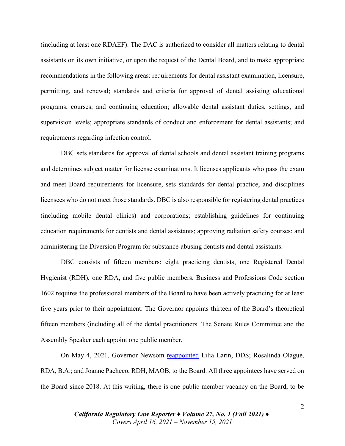(including at least one RDAEF). The DAC is authorized to consider all matters relating to dental assistants on its own initiative, or upon the request of the Dental Board, and to make appropriate recommendations in the following areas: requirements for dental assistant examination, licensure, permitting, and renewal; standards and criteria for approval of dental assisting educational programs, courses, and continuing education; allowable dental assistant duties, settings, and supervision levels; appropriate standards of conduct and enforcement for dental assistants; and requirements regarding infection control.

DBC sets standards for approval of dental schools and dental assistant training programs and determines subject matter for license examinations. It licenses applicants who pass the exam and meet Board requirements for licensure, sets standards for dental practice, and disciplines licensees who do not meet those standards. DBC is also responsible for registering dental practices (including mobile dental clinics) and corporations; establishing guidelines for continuing education requirements for dentists and dental assistants; approving radiation safety courses; and administering the Diversion Program for substance-abusing dentists and dental assistants.

DBC consists of fifteen members: eight practicing dentists, one Registered Dental Hygienist (RDH), one RDA, and five public members. Business and Professions Code section 1602 requires the professional members of the Board to have been actively practicing for at least five years prior to their appointment. The Governor appoints thirteen of the Board's theoretical fifteen members (including all of the dental practitioners. The Senate Rules Committee and the Assembly Speaker each appoint one public member.

On May 4, 2021, Governor Newsom [reappointed](https://perma.cc/9XZ9-D5ES) Lilia Larin, DDS; Rosalinda Olague, RDA, B.A.; and Joanne Pacheco, RDH, MAOB, to the Board. All three appointees have served on the Board since 2018. At this writing, there is one public member vacancy on the Board, to be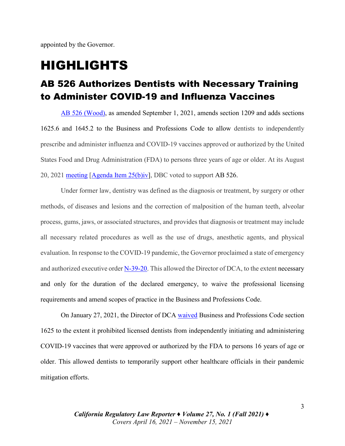appointed by the Governor.

## HIGHLIGHTS

#### AB 526 Authorizes Dentists with Necessary Training to Administer COVID-19 and Influenza Vaccines

[AB 526 \(Wood\),](https://leginfo.legislature.ca.gov/faces/billNavClient.xhtml?bill_id=202120220AB526) as amended September 1, 2021, amends section 1209 and adds sections 1625.6 and 1645.2 to the Business and Professions Code to allow dentists to independently prescribe and administer influenza and COVID-19 vaccines approved or authorized by the United States Food and Drug Administration (FDA) to persons three years of age or older. At its August 20, 2021 [meeting](https://perma.cc/GYG3-UNNV) [\[Agenda Item 25\(b\)iv\],](https://perma.cc/RU7Y-3RQ6) DBC voted to support AB 526.

Under former law, dentistry was defined as the diagnosis or treatment, by surgery or other methods, of diseases and lesions and the correction of malposition of the human teeth, alveolar process, gums, jaws, or associated structures, and provides that diagnosis or treatment may include all necessary related procedures as well as the use of drugs, anesthetic agents, and physical evaluation. In response to the COVID-19 pandemic, the Governor proclaimed a state of emergency and authorized executive orde[r N-39-20.](https://perma.cc/GY8H-4EEX) This allowed the Director of DCA, to the extent necessary and only for the duration of the declared emergency, to waive the professional licensing requirements and amend scopes of practice in the Business and Professions Code.

On January 27, 2021, the Director of DCA [waived](https://perma.cc/Z5NK-KAKA) Business and Professions Code section 1625 to the extent it prohibited licensed dentists from independently initiating and administering COVID-19 vaccines that were approved or authorized by the FDA to persons 16 years of age or older. This allowed dentists to temporarily support other healthcare officials in their pandemic mitigation efforts.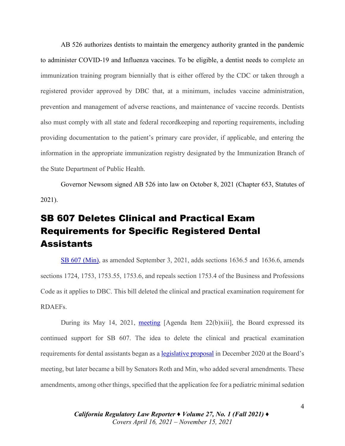AB 526 authorizes dentists to maintain the emergency authority granted in the pandemic to administer COVID-19 and Influenza vaccines. To be eligible, a dentist needs to complete an immunization training program biennially that is either offered by the CDC or taken through a registered provider approved by DBC that, at a minimum, includes vaccine administration, prevention and management of adverse reactions, and maintenance of vaccine records. Dentists also must comply with all state and federal recordkeeping and reporting requirements, including providing documentation to the patient's primary care provider, if applicable, and entering the information in the appropriate immunization registry designated by the Immunization Branch of the State Department of Public Health.

Governor Newsom signed AB 526 into law on October 8, 2021 (Chapter 653, Statutes of 2021).

### SB 607 Deletes Clinical and Practical Exam Requirements for Specific Registered Dental **Assistants**

[SB 607 \(Min\),](https://leginfo.legislature.ca.gov/faces/billTextClient.xhtml?bill_id=202120220SB607) as amended September 3, 2021, adds sections 1636.5 and 1636.6, amends sections 1724, 1753, 1753.55, 1753.6, and repeals section 1753.4 of the Business and Professions Code as it applies to DBC. This bill deleted the clinical and practical examination requirement for RDAEFs.

During its May 14, 2021, [meeting](https://perma.cc/TVU6-43AY) [Agenda Item 22(b)xiii], the Board expressed its continued support for SB 607. The idea to delete the clinical and practical examination requirements for dental assistants began as a [legislative proposal](https://perma.cc/R6A6-TSGQ) in December 2020 at the Board's meeting, but later became a bill by Senators Roth and Min, who added several amendments. These amendments, among other things, specified that the application fee for a pediatric minimal sedation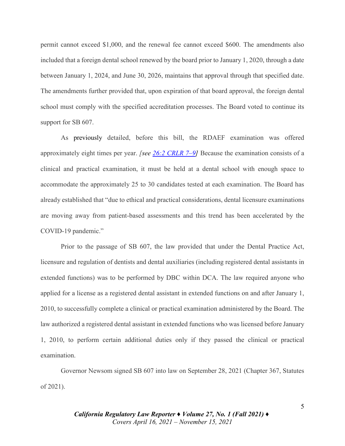permit cannot exceed \$1,000, and the renewal fee cannot exceed \$600. The amendments also included that a foreign dental school renewed by the board prior to January 1, 2020, through a date between January 1, 2024, and June 30, 2026, maintains that approval through that specified date. The amendments further provided that, upon expiration of that board approval, the foreign dental school must comply with the specified accreditation processes. The Board voted to continue its support for SB 607.

As previously detailed, before this bill, the RDAEF examination was offered approximately eight times per year. *[\[see 26:2 CRLR 7–9\]](https://digital.sandiego.edu/cgi/viewcontent.cgi?article=3086&context=crlr)* Because the examination consists of a clinical and practical examination, it must be held at a dental school with enough space to accommodate the approximately 25 to 30 candidates tested at each examination. The Board has already established that "due to ethical and practical considerations, dental licensure examinations are moving away from patient-based assessments and this trend has been accelerated by the COVID-19 pandemic."

Prior to the passage of SB 607, the law provided that under the Dental Practice Act, licensure and regulation of dentists and dental auxiliaries (including registered dental assistants in extended functions) was to be performed by DBC within DCA. The law required anyone who applied for a license as a registered dental assistant in extended functions on and after January 1, 2010, to successfully complete a clinical or practical examination administered by the Board. The law authorized a registered dental assistant in extended functions who was licensed before January 1, 2010, to perform certain additional duties only if they passed the clinical or practical examination.

Governor Newsom signed SB 607 into law on September 28, 2021 (Chapter 367, Statutes of 2021).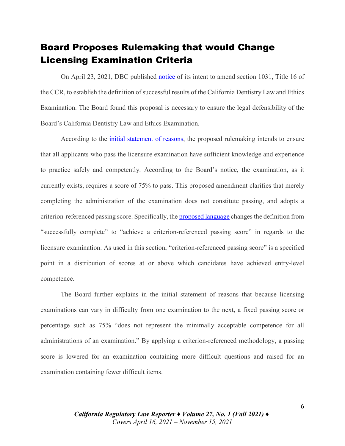#### Board Proposes Rulemaking that would Change Licensing Examination Criteria

On April 23, 2021, DBC published [notice](https://perma.cc/JMU3-ZDBE) of its intent to amend section 1031, Title 16 of the CCR, to establish the definition of successful results of the California Dentistry Law and Ethics Examination. The Board found this proposal is necessary to ensure the legal defensibility of the Board's California Dentistry Law and Ethics Examination.

According to the *initial statement of reasons*, the proposed rulemaking intends to ensure that all applicants who pass the licensure examination have sufficient knowledge and experience to practice safely and competently. According to the Board's notice, the examination, as it currently exists, requires a score of 75% to pass. This proposed amendment clarifies that merely completing the administration of the examination does not constitute passing, and adopts a criterion-referenced passing score. Specifically, the **proposed language** changes the definition from "successfully complete" to "achieve a criterion-referenced passing score" in regards to the licensure examination. As used in this section, "criterion-referenced passing score" is a specified point in a distribution of scores at or above which candidates have achieved entry-level competence.

The Board further explains in the initial statement of reasons that because licensing examinations can vary in difficulty from one examination to the next, a fixed passing score or percentage such as 75% "does not represent the minimally acceptable competence for all administrations of an examination." By applying a criterion-referenced methodology, a passing score is lowered for an examination containing more difficult questions and raised for an examination containing fewer difficult items.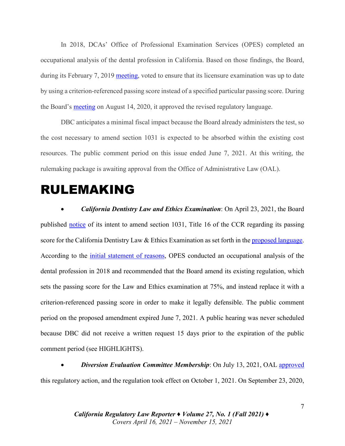In 2018, DCAs' Office of Professional Examination Services (OPES) completed an occupational analysis of the dental profession in California. Based on those findings, the Board, during its February 7, 2019 [meeting,](https://perma.cc/L2MK-4MJP) voted to ensure that its licensure examination was up to date by using a criterion-referenced passing score instead of a specified particular passing score. During the Board's [meeting](https://perma.cc/A4GH-PDDM) on August 14, 2020, it approved the revised regulatory language.

DBC anticipates a minimal fiscal impact because the Board already administers the test, so the cost necessary to amend section 1031 is expected to be absorbed within the existing cost resources. The public comment period on this issue ended June 7, 2021. At this writing, the rulemaking package is awaiting approval from the Office of Administrative Law (OAL).

### RULEMAKING

• *California Dentistry Law and Ethics Examination*: On April 23, 2021, the Board published [notice](https://perma.cc/JMU3-ZDBE) of its intent to amend section 1031, Title 16 of the CCR regarding its passing score for the California Dentistry Law & Ethics Examination as set forth in the [proposed language.](https://perma.cc/4ZRQ-BPNE) According to the [initial statement of reasons,](https://perma.cc/2EP3-T3KP) OPES conducted an occupational analysis of the dental profession in 2018 and recommended that the Board amend its existing regulation, which sets the passing score for the Law and Ethics examination at 75%, and instead replace it with a criterion-referenced passing score in order to make it legally defensible. The public comment period on the proposed amendment expired June 7, 2021. A public hearing was never scheduled because DBC did not receive a written request 15 days prior to the expiration of the public comment period (see HIGHLIGHTS).

• *Diversion Evaluation Committee Membership*: On July 13, 2021, OAL [approved](https://perma.cc/F4MW-G6WY) this regulatory action, and the regulation took effect on October 1, 2021. On September 23, 2020,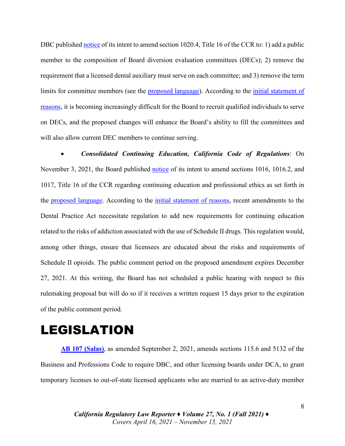DBC published [notice](https://perma.cc/9KVU-L9M3) of its intent to amend section 1020.4, Title 16 of the CCR to: 1) add a public member to the composition of Board diversion evaluation committees (DECs); 2) remove the requirement that a licensed dental auxiliary must serve on each committee; and 3) remove the term limits for committee members (see the [proposed language\)](https://perma.cc/65QW-GQNZ). According to the [initial statement of](https://perma.cc/7T4L-NTVR)  [reasons,](https://perma.cc/7T4L-NTVR) it is becoming increasingly difficult for the Board to recruit qualified individuals to serve on DECs, and the proposed changes will enhance the Board's ability to fill the committees and will also allow current DEC members to continue serving.

• *Consolidated Continuing Education, California Code of Regulations*: On November 3, 2021, the Board published [notice](https://perma.cc/D34B-LXBM) of its intent to amend sections 1016, 1016.2, and 1017, Title 16 of the CCR regarding continuing education and professional ethics as set forth in the [proposed language.](https://perma.cc/U2PL-RAT5) According to the [initial statement of reasons,](https://perma.cc/ZQ9H-RKXF) recent amendments to the Dental Practice Act necessitate regulation to add new requirements for continuing education related to the risks of addiction associated with the use of Schedule II drugs. This regulation would, among other things, ensure that licensees are educated about the risks and requirements of Schedule II opioids. The public comment period on the proposed amendment expires December 27, 2021. At this writing, the Board has not scheduled a public hearing with respect to this rulemaking proposal but will do so if it receives a written request 15 days prior to the expiration of the public comment period.

## LEGISLATION

**[AB 107 \(Salas\)](https://leginfo.legislature.ca.gov/faces/billTextClient.xhtml?bill_id=202120220AB107)**, as amended September 2, 2021, amends sections 115.6 and 5132 of the Business and Professions Code to require DBC, and other licensing boards under DCA, to grant temporary licenses to out-of-state licensed applicants who are married to an active-duty member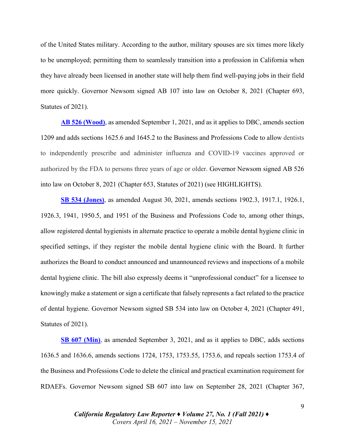of the United States military. According to the author, military spouses are six times more likely to be unemployed; permitting them to seamlessly transition into a profession in California when they have already been licensed in another state will help them find well-paying jobs in their field more quickly. Governor Newsom signed AB 107 into law on October 8, 2021 (Chapter 693, Statutes of 2021).

**[AB 526 \(Wood\)](https://leginfo.legislature.ca.gov/faces/billNavClient.xhtml?bill_id=202120220AB526)**, as amended September 1, 2021, and as it applies to DBC, amends section 1209 and adds sections 1625.6 and 1645.2 to the Business and Professions Code to allow dentists to independently prescribe and administer influenza and COVID-19 vaccines approved or authorized by the FDA to persons three years of age or older. Governor Newsom signed AB 526 into law on October 8, 2021 (Chapter 653, Statutes of 2021) (see HIGHLIGHTS).

**[SB 534 \(Jones\)](https://leginfo.legislature.ca.gov/faces/billTextClient.xhtml?bill_id=202120220SB534)**, as amended August 30, 2021, amends sections 1902.3, 1917.1, 1926.1, 1926.3, 1941, 1950.5, and 1951 of the Business and Professions Code to, among other things, allow registered dental hygienists in alternate practice to operate a mobile dental hygiene clinic in specified settings, if they register the mobile dental hygiene clinic with the Board. It further authorizes the Board to conduct announced and unannounced reviews and inspections of a mobile dental hygiene clinic. The bill also expressly deems it "unprofessional conduct" for a licensee to knowingly make a statement or sign a certificate that falsely represents a fact related to the practice of dental hygiene. Governor Newsom signed SB 534 into law on October 4, 2021 (Chapter 491, Statutes of 2021).

**[SB 607 \(Min\)](https://leginfo.legislature.ca.gov/faces/billTextClient.xhtml?bill_id=202120220SB607)**, as amended September 3, 2021, and as it applies to DBC, adds sections 1636.5 and 1636.6, amends sections 1724, 1753, 1753.55, 1753.6, and repeals section 1753.4 of the Business and Professions Code to delete the clinical and practical examination requirement for RDAEFs. Governor Newsom signed SB 607 into law on September 28, 2021 (Chapter 367,